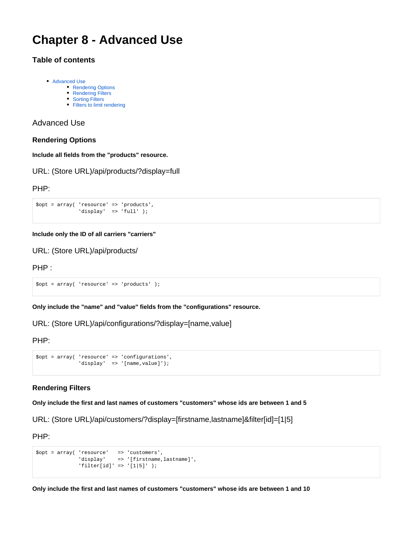# **Chapter 8 - Advanced Use**

# **Table of contents**

- [Advanced Use](#page-0-0)
	- [Rendering Options](#page-0-1)
	- [Rendering Filters](#page-0-2)
	- [Sorting Filters](#page-1-0) • [Filters to limit rendering](#page-1-1)
	-

### <span id="page-0-0"></span>Advanced Use

#### <span id="page-0-1"></span>**Rendering Options**

**Include all fields from the "products" resource.**

URL: (Store URL)/api/products/?display=full

#### PHP:

```
$opt = array( 'resource' => 'products', 
             'display' => 'full' );
```
#### **Include only the ID of all carriers "carriers"**

URL: (Store URL)/api/products/

PHP :

\$opt = array( 'resource' => 'products' );

**Only include the "name" and "value" fields from the "configurations" resource.**

URL: (Store URL)/api/configurations/?display=[name,value]

PHP:

```
$opt = array( 'resource' => 'configurations', 
             'display' => '[name, value]');
```
#### <span id="page-0-2"></span>**Rendering Filters**

**Only include the first and last names of customers "customers" whose ids are between 1 and 5**

URL: (Store URL)/api/customers/?display=[firstname,lastname]&filter[id]=[1|5]

PHP:

```
$opt = array( 'resource' => 'customers', 
'display' => '[firstname,lastname]', 
          'filter[id]' => '[1|5]' );
```
**Only include the first and last names of customers "customers" whose ids are between 1 and 10**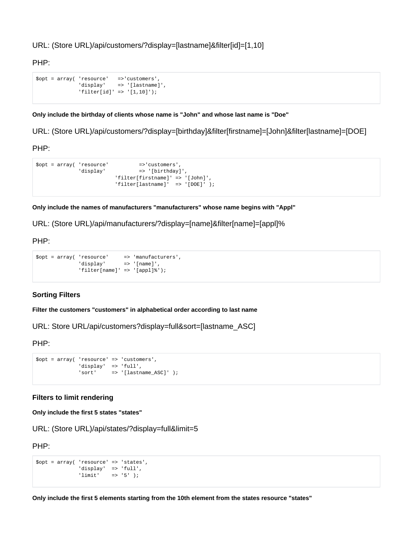URL: (Store URL)/api/customers/?display=[lastname]&filter[id]=[1,10]

PHP:

```
$opt = array( 'resource' =>'customers', 
              'display' => '[lastname]', 
              'filter[id]' => '[1,10]');
```
**Only include the birthday of clients whose name is "John" and whose last name is "Doe"**

URL: (Store URL)/api/customers/?display=[birthday]&filter[firstname]=[John]&filter[lastname]=[DOE]

PHP:

```
$opt = array( 'resource' =>'customers', 
             'display' \qquad \qquad \Rightarrow '[birthday]',
                           'filter[firstname]' => '[John]', 
                           'filter[lastname]' => '[DOE]' );
```
**Only include the names of manufacturers "manufacturers" whose name begins with "Appl"**

URL: (Store URL)/api/manufacturers/?display=[name]&filter[name]=[appl]%

PHP:

```
$opt = array( 'resource' => 'manufacturers', 
'display' => '[name]', 
           'filter[name]' => '[appl]%');
```
## <span id="page-1-0"></span>**Sorting Filters**

**Filter the customers "customers" in alphabetical order according to last name**

URL: Store URL/api/customers?display=full&sort=[lastname\_ASC]

PHP:

```
$opt = array( 'resource' => 'customers', 
             'display' => 'full', 
             'sort' => '[lastname_ASC]' );
```
<span id="page-1-1"></span>**Filters to limit rendering**

**Only include the first 5 states "states"**

```
URL: (Store URL)/api/states/?display=full&limit=5
```
PHP:

```
$opt = array( 'resource' => 'states', 
              'display' => 'full', 
             'limit' = > '5' );
```
**Only include the first 5 elements starting from the 10th element from the states resource "states"**